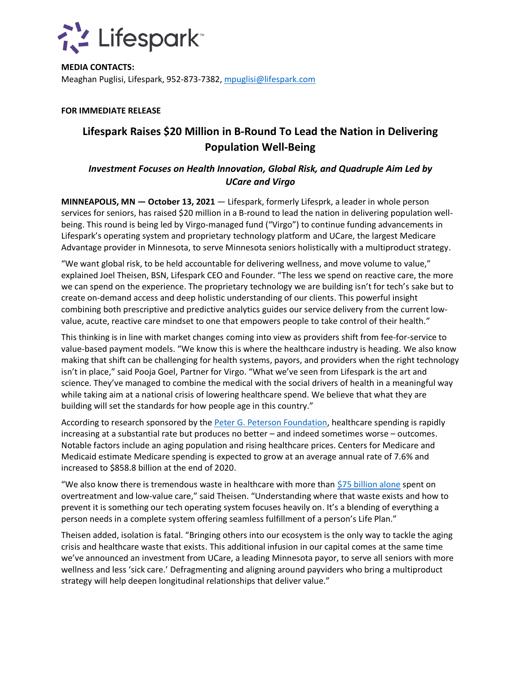

**MEDIA CONTACTS:** Meaghan Puglisi, Lifespark, 952-873-7382[, mpuglisi@lifespark.com](mailto:mpuglisi@lifespark.com)

### **FOR IMMEDIATE RELEASE**

# **Lifespark Raises \$20 Million in B-Round To Lead the Nation in Delivering Population Well-Being**

## *Investment Focuses on Health Innovation, Global Risk, and Quadruple Aim Led by UCare and Virgo*

**MINNEAPOLIS, MN — October 13, 2021** — Lifespark, formerly Lifesprk, a leader in whole person services for seniors, has raised \$20 million in a B-round to lead the nation in delivering population wellbeing. This round is being led by Virgo-managed fund ("Virgo") to continue funding advancements in Lifespark's operating system and proprietary technology platform and UCare, the largest Medicare Advantage provider in Minnesota, to serve Minnesota seniors holistically with a multiproduct strategy.

"We want global risk, to be held accountable for delivering wellness, and move volume to value," explained Joel Theisen, BSN, Lifespark CEO and Founder. "The less we spend on reactive care, the more we can spend on the experience. The proprietary technology we are building isn't for tech's sake but to create on-demand access and deep holistic understanding of our clients. This powerful insight combining both prescriptive and predictive analytics guides our service delivery from the current lowvalue, acute, reactive care mindset to one that empowers people to take control of their health."

This thinking is in line with market changes coming into view as providers shift from fee-for-service to value-based payment models. "We know this is where the healthcare industry is heading. We also know making that shift can be challenging for health systems, payors, and providers when the right technology isn't in place," said Pooja Goel, Partner for Virgo. "What we've seen from Lifespark is the art and science. They've managed to combine the medical with the social drivers of health in a meaningful way while taking aim at a national crisis of lowering healthcare spend. We believe that what they are building will set the standards for how people age in this country."

According to research sponsored by the [Peter G. Peterson Foundation,](https://www.pgpf.org/blog/2020/04/why-are-americans-paying-more-for-healthcare) healthcare spending is rapidly increasing at a substantial rate but produces no better – and indeed sometimes worse – outcomes. Notable factors include an aging population and rising healthcare prices. Centers for Medicare and Medicaid estimate Medicare spending is expected to grow at an average annual rate of 7.6% and increased to \$858.8 billion at the end of 2020.

"We also know there is tremendous waste in healthcare with more than [\\$75 billion alone](https://jamanetwork.com/journals/jama/article-abstract/2752664) spent on overtreatment and low-value care," said Theisen. "Understanding where that waste exists and how to prevent it is something our tech operating system focuses heavily on. It's a blending of everything a person needs in a complete system offering seamless fulfillment of a person's Life Plan."

Theisen added, isolation is fatal. "Bringing others into our ecosystem is the only way to tackle the aging crisis and healthcare waste that exists. This additional infusion in our capital comes at the same time we've announced an investment from UCare, a leading Minnesota payor, to serve all seniors with more wellness and less 'sick care.' Defragmenting and aligning around payviders who bring a multiproduct strategy will help deepen longitudinal relationships that deliver value."